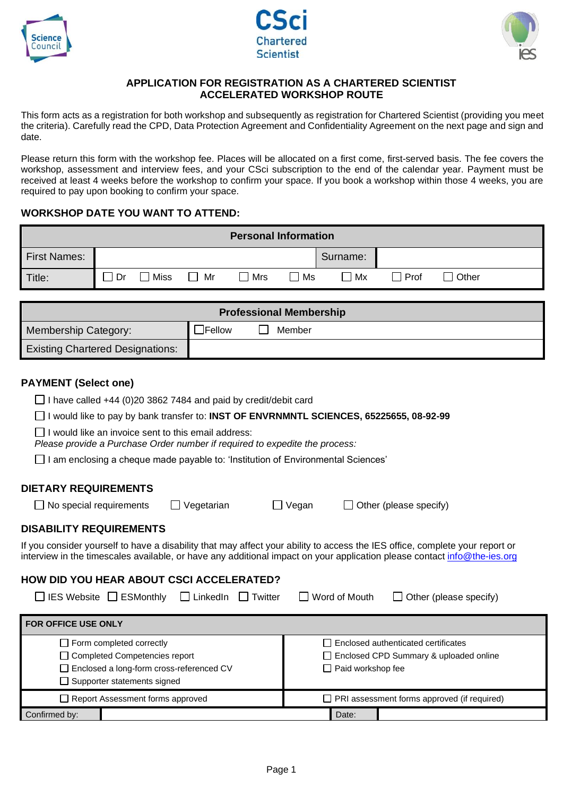





## **APPLICATION FOR REGISTRATION AS A CHARTERED SCIENTIST ACCELERATED WORKSHOP ROUTE**

This form acts as a registration for both workshop and subsequently as registration for Chartered Scientist (providing you meet the criteria). Carefully read the CPD, Data Protection Agreement and Confidentiality Agreement on the next page and sign and date.

Please return this form with the workshop fee. Places will be allocated on a first come, first-served basis. The fee covers the workshop, assessment and interview fees, and your CSci subscription to the end of the calendar year. Payment must be received at least 4 weeks before the workshop to confirm your space. If you book a workshop within those 4 weeks, you are required to pay upon booking to confirm your space.

## **WORKSHOP DATE YOU WANT TO ATTEND:**

| <b>Personal Information</b>                                                                                                                                                                                                                                                                                                                                                                                                                                                                                                                                                                                                                                                                                                                                                                                                                                                                                        |                                            |             |                                |                                                                                                               |        |                                                    |        |                        |  |
|--------------------------------------------------------------------------------------------------------------------------------------------------------------------------------------------------------------------------------------------------------------------------------------------------------------------------------------------------------------------------------------------------------------------------------------------------------------------------------------------------------------------------------------------------------------------------------------------------------------------------------------------------------------------------------------------------------------------------------------------------------------------------------------------------------------------------------------------------------------------------------------------------------------------|--------------------------------------------|-------------|--------------------------------|---------------------------------------------------------------------------------------------------------------|--------|----------------------------------------------------|--------|------------------------|--|
| <b>First Names:</b>                                                                                                                                                                                                                                                                                                                                                                                                                                                                                                                                                                                                                                                                                                                                                                                                                                                                                                |                                            |             |                                |                                                                                                               |        | Surname:                                           |        |                        |  |
| Title:                                                                                                                                                                                                                                                                                                                                                                                                                                                                                                                                                                                                                                                                                                                                                                                                                                                                                                             | l I Dr                                     | $\Box$ Miss | Mr<br>$\Box$                   | Mrs                                                                                                           | l Ms   | Mx                                                 | I Prof | l Other                |  |
|                                                                                                                                                                                                                                                                                                                                                                                                                                                                                                                                                                                                                                                                                                                                                                                                                                                                                                                    |                                            |             |                                |                                                                                                               |        |                                                    |        |                        |  |
| <b>Professional Membership</b>                                                                                                                                                                                                                                                                                                                                                                                                                                                                                                                                                                                                                                                                                                                                                                                                                                                                                     |                                            |             |                                |                                                                                                               |        |                                                    |        |                        |  |
| Membership Category:                                                                                                                                                                                                                                                                                                                                                                                                                                                                                                                                                                                                                                                                                                                                                                                                                                                                                               |                                            |             | $\sqsupset$ Fellow             |                                                                                                               | Member |                                                    |        |                        |  |
| <b>Existing Chartered Designations:</b>                                                                                                                                                                                                                                                                                                                                                                                                                                                                                                                                                                                                                                                                                                                                                                                                                                                                            |                                            |             |                                |                                                                                                               |        |                                                    |        |                        |  |
| <b>PAYMENT (Select one)</b><br>$\Box$ I have called +44 (0)20 3862 7484 and paid by credit/debit card<br>I would like to pay by bank transfer to: INST OF ENVRNMNTL SCIENCES, 65225655, 08-92-99<br>$\Box$ I would like an invoice sent to this email address:<br>Please provide a Purchase Order number if required to expedite the process:<br>$\Box$ I am enclosing a cheque made payable to: 'Institution of Environmental Sciences'<br><b>DIETARY REQUIREMENTS</b><br>Vegetarian<br>$\Box$ No special requirements<br>$\Box$ Vegan<br>Other (please specify)<br><b>DISABILITY REQUIREMENTS</b><br>If you consider yourself to have a disability that may affect your ability to access the IES office, complete your report or<br>interview in the timescales available, or have any additional impact on your application please contact info@the-ies.org<br><b>HOW DID YOU HEAR ABOUT CSCI ACCELERATED?</b> |                                            |             |                                |                                                                                                               |        |                                                    |        |                        |  |
| $IES Website \Box ESMonthly$                                                                                                                                                                                                                                                                                                                                                                                                                                                                                                                                                                                                                                                                                                                                                                                                                                                                                       |                                            |             | $\Box$ LinkedIn $\Box$ Twitter |                                                                                                               |        | Word of Mouth                                      |        | Other (please specify) |  |
| FOR OFFICE USE ONLY                                                                                                                                                                                                                                                                                                                                                                                                                                                                                                                                                                                                                                                                                                                                                                                                                                                                                                |                                            |             |                                |                                                                                                               |        |                                                    |        |                        |  |
| $\Box$ Form completed correctly<br>□ Completed Competencies report<br>□ Supporter statements signed                                                                                                                                                                                                                                                                                                                                                                                                                                                                                                                                                                                                                                                                                                                                                                                                                | □ Enclosed a long-form cross-referenced CV |             |                                | $\Box$ Enclosed authenticated certificates<br>□ Enclosed CPD Summary & uploaded online<br>□ Paid workshop fee |        |                                                    |        |                        |  |
|                                                                                                                                                                                                                                                                                                                                                                                                                                                                                                                                                                                                                                                                                                                                                                                                                                                                                                                    | □ Report Assessment forms approved         |             |                                |                                                                                                               |        | $\Box$ PRI assessment forms approved (if required) |        |                        |  |
| Date:<br>Confirmed by:                                                                                                                                                                                                                                                                                                                                                                                                                                                                                                                                                                                                                                                                                                                                                                                                                                                                                             |                                            |             |                                |                                                                                                               |        |                                                    |        |                        |  |